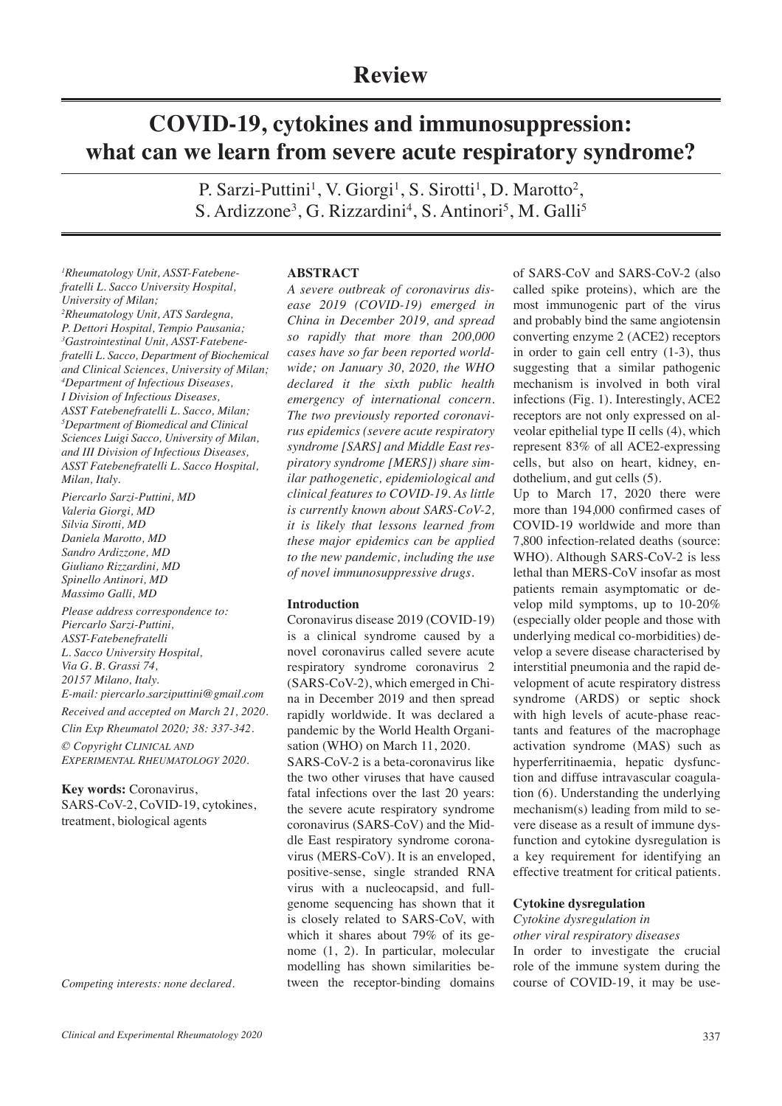# **COVID-19, cytokines and immunosuppression: what can we learn from severe acute respiratory syndrome?**

P. Sarzi-Puttini<sup>1</sup>, V. Giorgi<sup>1</sup>, S. Sirotti<sup>1</sup>, D. Marotto<sup>2</sup>, S. Ardizzone<sup>3</sup>, G. Rizzardini<sup>4</sup>, S. Antinori<sup>5</sup>, M. Galli<sup>5</sup>

*1 Rheumatology Unit, ASST-Fatebenefratelli L. Sacco University Hospital, University of Milan; 2 Rheumatology Unit, ATS Sardegna, P. Dettori Hospital, Tempio Pausania; 3 Gastrointestinal Unit, ASST-Fatebenefratelli L. Sacco, Department of Biochemical and Clinical Sciences, University of Milan; 4 Department of Infectious Diseases, I Division of Infectious Diseases, ASST Fatebenefratelli L. Sacco, Milan; 5 Department of Biomedical and Clinical Sciences Luigi Sacco, University of Milan, and III Division of Infectious Diseases, ASST Fatebenefratelli L. Sacco Hospital, Milan, Italy.*

*Piercarlo Sarzi-Puttini, MD Valeria Giorgi, MD Silvia Sirotti, MD Daniela Marotto, MD Sandro Ardizzone, MD Giuliano Rizzardini, MD Spinello Antinori, MD Massimo Galli, MD*

*Please address correspondence to: Piercarlo Sarzi-Puttini, ASST-Fatebenefratelli L. Sacco University Hospital, Via G. B. Grassi 74, 20157 Milano, Italy. E-mail: piercarlo.sarziputtini@gmail.com Received and accepted on March 21, 2020.*

*Clin Exp Rheumatol 2020; 38: 337-342.*

*© Copyright CLINICAL AND EXPERIMENTAL RHEUMATOLOGY 2020.*

# **Key words:** Coronavirus,

SARS-CoV-2, CoVID-19, cytokines, treatment, biological agents

*Competing interests: none declared.*

# **ABSTRACT**

*A severe outbreak of coronavirus disease 2019 (COVID-19) emerged in China in December 2019, and spread so rapidly that more than 200,000 cases have so far been reported worldwide; on January 30, 2020, the WHO declared it the sixth public health emergency of international concern. The two previously reported coronavirus epidemics (severe acute respiratory syndrome [SARS] and Middle East respiratory syndrome [MERS]) share similar pathogenetic, epidemiological and clinical features to COVID-19. As little is currently known about SARS-CoV-2, it is likely that lessons learned from these major epidemics can be applied to the new pandemic, including the use of novel immunosuppressive drugs.*

# **Introduction**

Coronavirus disease 2019 (COVID-19) is a clinical syndrome caused by a novel coronavirus called severe acute respiratory syndrome coronavirus 2 (SARS-CoV-2), which emerged in China in December 2019 and then spread rapidly worldwide. It was declared a pandemic by the World Health Organisation (WHO) on March 11, 2020.

SARS-CoV-2 is a beta-coronavirus like the two other viruses that have caused fatal infections over the last 20 years: the severe acute respiratory syndrome coronavirus (SARS-CoV) and the Middle East respiratory syndrome coronavirus (MERS-CoV). It is an enveloped, positive-sense, single stranded RNA virus with a nucleocapsid, and fullgenome sequencing has shown that it is closely related to SARS-CoV, with which it shares about 79% of its genome (1, 2). In particular, molecular modelling has shown similarities between the receptor-binding domains

of SARS-CoV and SARS-CoV-2 (also called spike proteins), which are the most immunogenic part of the virus and probably bind the same angiotensin converting enzyme 2 (ACE2) receptors in order to gain cell entry (1-3), thus suggesting that a similar pathogenic mechanism is involved in both viral infections (Fig. 1). Interestingly, ACE2 receptors are not only expressed on alveolar epithelial type II cells (4), which represent 83% of all ACE2-expressing cells, but also on heart, kidney, endothelium, and gut cells (5).

Up to March 17, 2020 there were more than 194,000 confrmed cases of COVID-19 worldwide and more than 7,800 infection-related deaths (source: WHO). Although SARS-CoV-2 is less lethal than MERS-CoV insofar as most patients remain asymptomatic or develop mild symptoms, up to 10-20% (especially older people and those with underlying medical co-morbidities) develop a severe disease characterised by interstitial pneumonia and the rapid development of acute respiratory distress syndrome (ARDS) or septic shock with high levels of acute-phase reactants and features of the macrophage activation syndrome (MAS) such as hyperferritinaemia, hepatic dysfunction and diffuse intravascular coagulation (6). Understanding the underlying mechanism(s) leading from mild to severe disease as a result of immune dysfunction and cytokine dysregulation is a key requirement for identifying an effective treatment for critical patients.

# **Cytokine dysregulation**

## *Cytokine dysregulation in*

*other viral respiratory diseases* In order to investigate the crucial role of the immune system during the course of COVID-19, it may be use-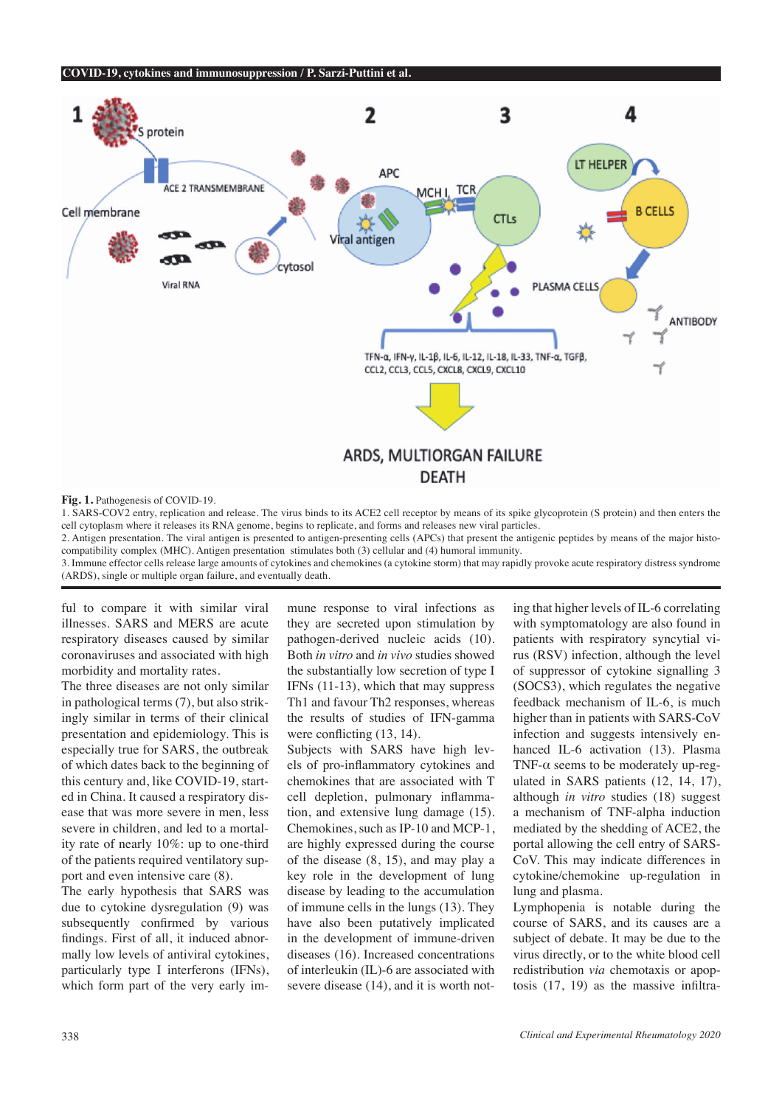

**Fig. 1.** Pathogenesis of COVID-19.

1. SARS-COV2 entry, replication and release. The virus binds to its ACE2 cell receptor by means of its spike glycoprotein (S protein) and then enters the cell cytoplasm where it releases its RNA genome, begins to replicate, and forms and releases new viral particles.

2. Antigen presentation. The viral antigen is presented to antigen-presenting cells (APCs) that present the antigenic peptides by means of the major histocompatibility complex (MHC). Antigen presentation stimulates both (3) cellular and (4) humoral immunity.

3. Immune effector cells release large amounts of cytokines and chemokines (a cytokine storm) that may rapidly provoke acute respiratory distress syndrome (ARDS), single or multiple organ failure, and eventually death.

ful to compare it with similar viral illnesses. SARS and MERS are acute respiratory diseases caused by similar coronaviruses and associated with high morbidity and mortality rates.

The three diseases are not only similar in pathological terms (7), but also strikingly similar in terms of their clinical presentation and epidemiology. This is especially true for SARS, the outbreak of which dates back to the beginning of this century and, like COVID-19, started in China. It caused a respiratory disease that was more severe in men, less severe in children, and led to a mortality rate of nearly 10%: up to one-third of the patients required ventilatory support and even intensive care (8).

The early hypothesis that SARS was due to cytokine dysregulation (9) was subsequently confrmed by various fndings. First of all, it induced abnormally low levels of antiviral cytokines, particularly type I interferons (IFNs), which form part of the very early immune response to viral infections as they are secreted upon stimulation by pathogen-derived nucleic acids (10). Both *in vitro* and *in vivo* studies showed the substantially low secretion of type I IFNs (11-13), which that may suppress Th1 and favour Th2 responses, whereas the results of studies of IFN-gamma were conflicting  $(13, 14)$ .

Subjects with SARS have high levels of pro-infammatory cytokines and chemokines that are associated with T cell depletion, pulmonary infammation, and extensive lung damage (15). Chemokines, such as IP-10 and MCP-1, are highly expressed during the course of the disease (8, 15), and may play a key role in the development of lung disease by leading to the accumulation of immune cells in the lungs (13). They have also been putatively implicated in the development of immune-driven diseases (16). Increased concentrations of interleukin (IL)-6 are associated with severe disease (14), and it is worth not-

ing that higher levels of IL-6 correlating with symptomatology are also found in patients with respiratory syncytial virus (RSV) infection, although the level of suppressor of cytokine signalling 3 (SOCS3), which regulates the negative feedback mechanism of IL-6, is much higher than in patients with SARS-CoV infection and suggests intensively enhanced IL-6 activation (13). Plasma TNF- $\alpha$  seems to be moderately up-regulated in SARS patients (12, 14, 17), although *in vitro* studies (18) suggest a mechanism of TNF-alpha induction mediated by the shedding of ACE2, the portal allowing the cell entry of SARS-CoV. This may indicate differences in cytokine/chemokine up-regulation in lung and plasma.

Lymphopenia is notable during the course of SARS, and its causes are a subject of debate. It may be due to the virus directly, or to the white blood cell redistribution *via* chemotaxis or apoptosis (17, 19) as the massive infltra-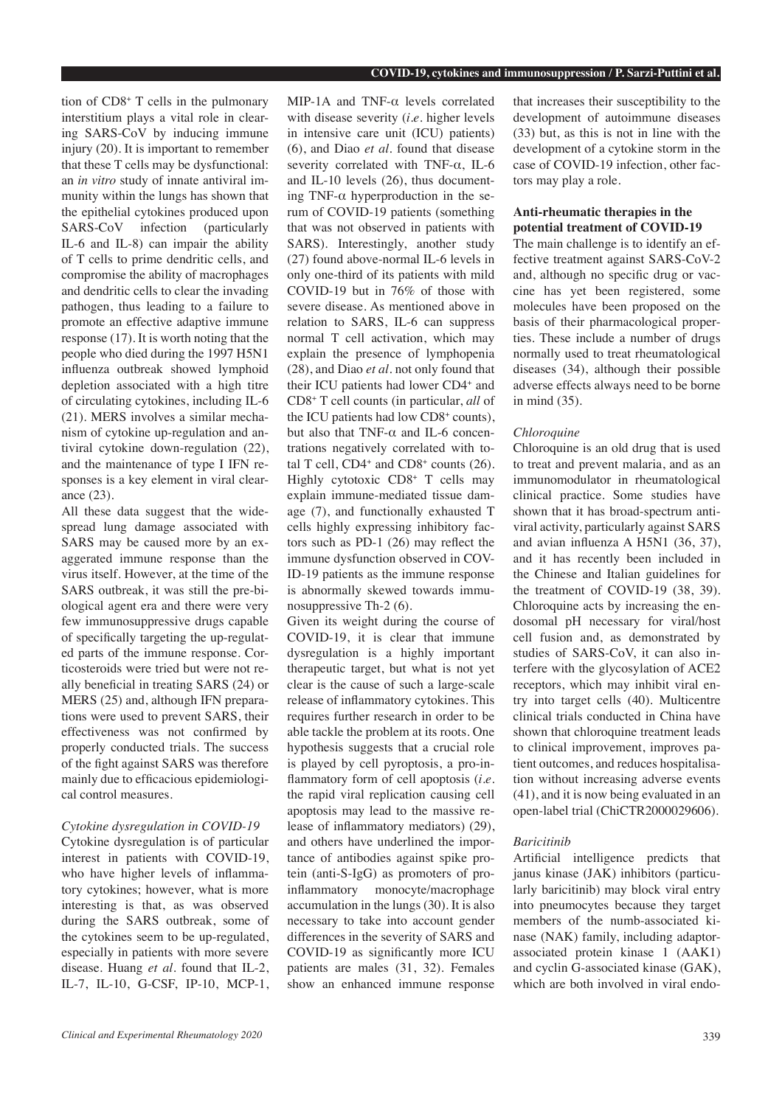tion of CD8+ T cells in the pulmonary interstitium plays a vital role in clearing SARS-CoV by inducing immune injury (20). It is important to remember that these T cells may be dysfunctional: an *in vitro* study of innate antiviral immunity within the lungs has shown that the epithelial cytokines produced upon SARS-CoV infection (particularly IL-6 and IL-8) can impair the ability of T cells to prime dendritic cells, and compromise the ability of macrophages and dendritic cells to clear the invading pathogen, thus leading to a failure to promote an effective adaptive immune response (17). It is worth noting that the people who died during the 1997 H5N1 infuenza outbreak showed lymphoid depletion associated with a high titre of circulating cytokines, including IL-6 (21). MERS involves a similar mechanism of cytokine up-regulation and antiviral cytokine down-regulation (22), and the maintenance of type I IFN responses is a key element in viral clearance (23).

All these data suggest that the widespread lung damage associated with SARS may be caused more by an exaggerated immune response than the virus itself. However, at the time of the SARS outbreak, it was still the pre-biological agent era and there were very few immunosuppressive drugs capable of specifcally targeting the up-regulated parts of the immune response. Corticosteroids were tried but were not really benefcial in treating SARS (24) or MERS (25) and, although IFN preparations were used to prevent SARS, their effectiveness was not confrmed by properly conducted trials. The success of the fght against SARS was therefore mainly due to effcacious epidemiological control measures.

# *Cytokine dysregulation in COVID-19*

Cytokine dysregulation is of particular interest in patients with COVID-19, who have higher levels of infammatory cytokines; however, what is more interesting is that, as was observed during the SARS outbreak, some of the cytokines seem to be up-regulated, especially in patients with more severe disease. Huang *et al.* found that IL-2, IL-7, IL-10, G-CSF, IP-10, MCP-1, MIP-1A and TNF-α levels correlated with disease severity (*i.e.* higher levels in intensive care unit (ICU) patients) (6), and Diao *et al.* found that disease severity correlated with TNF-α, IL-6 and IL-10 levels (26), thus documenting TNF- $\alpha$  hyperproduction in the serum of COVID-19 patients (something that was not observed in patients with SARS). Interestingly, another study (27) found above-normal IL-6 levels in only one-third of its patients with mild COVID-19 but in 76% of those with severe disease. As mentioned above in relation to SARS, IL-6 can suppress normal T cell activation, which may explain the presence of lymphopenia (28), and Diao *et al.* not only found that their ICU patients had lower CD4+ and CD8+ T cell counts (in particular, *all* of the ICU patients had low CD8+ counts), but also that TNF- $\alpha$  and IL-6 concentrations negatively correlated with total T cell,  $CD4^+$  and  $CD8^+$  counts (26). Highly cytotoxic CD8+ T cells may explain immune-mediated tissue damage (7), and functionally exhausted T cells highly expressing inhibitory factors such as PD-1 (26) may refect the immune dysfunction observed in COV-ID-19 patients as the immune response is abnormally skewed towards immunosuppressive Th-2 (6).

Given its weight during the course of COVID-19, it is clear that immune dysregulation is a highly important therapeutic target, but what is not yet clear is the cause of such a large-scale release of infammatory cytokines. This requires further research in order to be able tackle the problem at its roots. One hypothesis suggests that a crucial role is played by cell pyroptosis, a pro-infammatory form of cell apoptosis (*i.e.* the rapid viral replication causing cell apoptosis may lead to the massive release of infammatory mediators) (29), and others have underlined the importance of antibodies against spike protein (anti-S-IgG) as promoters of proinfammatory monocyte/macrophage accumulation in the lungs (30). It is also necessary to take into account gender differences in the severity of SARS and COVID-19 as signifcantly more ICU patients are males (31, 32). Females show an enhanced immune response that increases their susceptibility to the development of autoimmune diseases (33) but, as this is not in line with the development of a cytokine storm in the case of COVID-19 infection, other factors may play a role.

# **Anti-rheumatic therapies in the potential treatment of COVID-19**

The main challenge is to identify an effective treatment against SARS-CoV-2 and, although no specifc drug or vaccine has yet been registered, some molecules have been proposed on the basis of their pharmacological properties. These include a number of drugs normally used to treat rheumatological diseases (34), although their possible adverse effects always need to be borne in mind (35).

# *Chloroquine*

Chloroquine is an old drug that is used to treat and prevent malaria, and as an immunomodulator in rheumatological clinical practice. Some studies have shown that it has broad-spectrum antiviral activity, particularly against SARS and avian infuenza A H5N1 (36, 37), and it has recently been included in the Chinese and Italian guidelines for the treatment of COVID-19 (38, 39). Chloroquine acts by increasing the endosomal pH necessary for viral/host cell fusion and, as demonstrated by studies of SARS-CoV, it can also interfere with the glycosylation of ACE2 receptors, which may inhibit viral entry into target cells (40). Multicentre clinical trials conducted in China have shown that chloroquine treatment leads to clinical improvement, improves patient outcomes, and reduces hospitalisation without increasing adverse events (41), and it is now being evaluated in an open-label trial (ChiCTR2000029606).

# *Baricitinib*

Artifcial intelligence predicts that janus kinase (JAK) inhibitors (particularly baricitinib) may block viral entry into pneumocytes because they target members of the numb-associated kinase (NAK) family, including adaptorassociated protein kinase 1 (AAK1) and cyclin G-associated kinase (GAK), which are both involved in viral endo-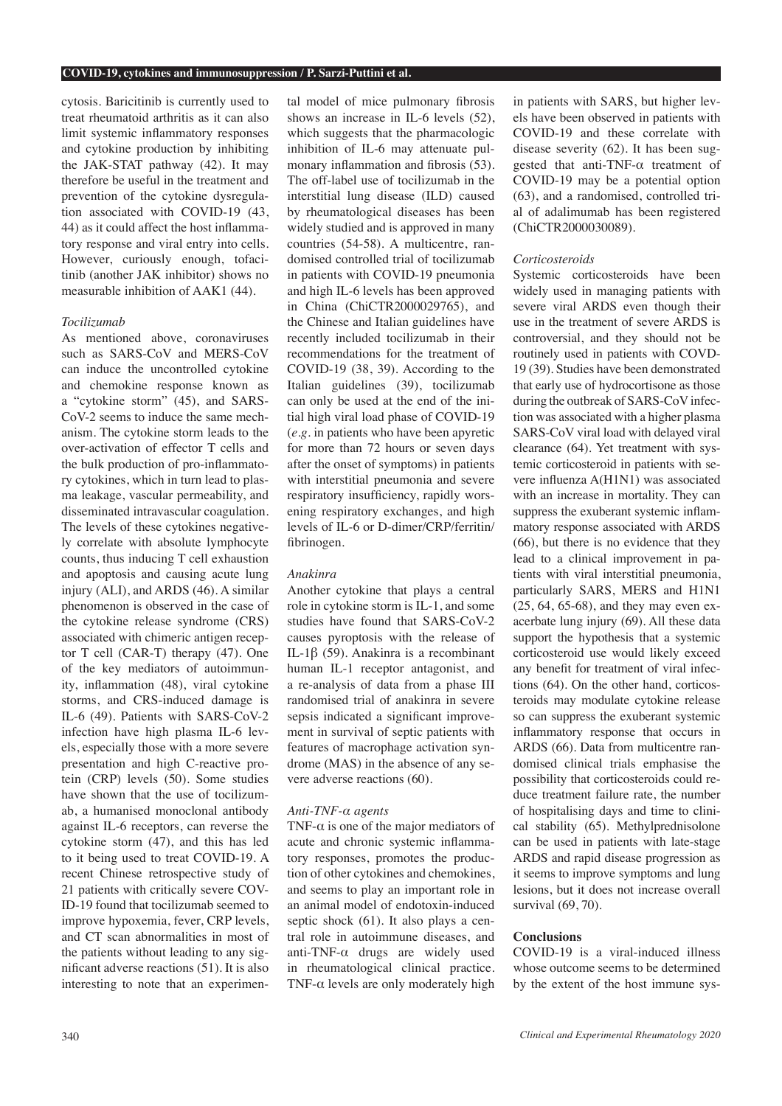cytosis. Baricitinib is currently used to treat rheumatoid arthritis as it can also limit systemic infammatory responses and cytokine production by inhibiting the JAK-STAT pathway (42). It may therefore be useful in the treatment and prevention of the cytokine dysregulation associated with COVID-19 (43, 44) as it could affect the host infammatory response and viral entry into cells. However, curiously enough, tofacitinib (another JAK inhibitor) shows no measurable inhibition of AAK1 (44).

# *Tocilizumab*

As mentioned above, coronaviruses such as SARS-CoV and MERS-CoV can induce the uncontrolled cytokine and chemokine response known as a "cytokine storm" (45), and SARS-CoV-2 seems to induce the same mechanism. The cytokine storm leads to the over-activation of effector T cells and the bulk production of pro-infammatory cytokines, which in turn lead to plasma leakage, vascular permeability, and disseminated intravascular coagulation. The levels of these cytokines negatively correlate with absolute lymphocyte counts, thus inducing T cell exhaustion and apoptosis and causing acute lung injury (ALI), and ARDS (46). A similar phenomenon is observed in the case of the cytokine release syndrome (CRS) associated with chimeric antigen receptor T cell (CAR-T) therapy (47). One of the key mediators of autoimmunity, infammation (48), viral cytokine storms, and CRS-induced damage is IL-6 (49). Patients with SARS-CoV-2 infection have high plasma IL-6 levels, especially those with a more severe presentation and high C-reactive protein (CRP) levels (50). Some studies have shown that the use of tocilizumab, a humanised monoclonal antibody against IL-6 receptors, can reverse the cytokine storm (47), and this has led to it being used to treat COVID-19. A recent Chinese retrospective study of 21 patients with critically severe COV-ID-19 found that tocilizumab seemed to improve hypoxemia, fever, CRP levels, and CT scan abnormalities in most of the patients without leading to any signifcant adverse reactions (51). It is also interesting to note that an experimental model of mice pulmonary fbrosis shows an increase in IL-6 levels (52), which suggests that the pharmacologic inhibition of IL-6 may attenuate pulmonary infammation and fbrosis (53). The off-label use of tocilizumab in the interstitial lung disease (ILD) caused by rheumatological diseases has been widely studied and is approved in many countries (54-58). A multicentre, randomised controlled trial of tocilizumab in patients with COVID-19 pneumonia and high IL-6 levels has been approved in China (ChiCTR2000029765), and the Chinese and Italian guidelines have recently included tocilizumab in their recommendations for the treatment of COVID-19 (38, 39). According to the Italian guidelines (39), tocilizumab can only be used at the end of the initial high viral load phase of COVID-19 (*e.g.* in patients who have been apyretic for more than 72 hours or seven days after the onset of symptoms) in patients with interstitial pneumonia and severe respiratory insufficiency, rapidly worsening respiratory exchanges, and high levels of IL-6 or D-dimer/CRP/ferritin/ fbrinogen.

# *Anakinra*

Another cytokine that plays a central role in cytokine storm is IL-1, and some studies have found that SARS-CoV-2 causes pyroptosis with the release of IL-1β (59). Anakinra is a recombinant human IL-1 receptor antagonist, and a re-analysis of data from a phase III randomised trial of anakinra in severe sepsis indicated a signifcant improvement in survival of septic patients with features of macrophage activation syndrome (MAS) in the absence of any severe adverse reactions (60).

# *Anti-TNF-α agents*

TNF- $\alpha$  is one of the major mediators of acute and chronic systemic infammatory responses, promotes the production of other cytokines and chemokines, and seems to play an important role in an animal model of endotoxin-induced septic shock (61). It also plays a central role in autoimmune diseases, and anti-TNF-α drugs are widely used in rheumatological clinical practice. TNF- $\alpha$  levels are only moderately high

in patients with SARS, but higher levels have been observed in patients with COVID-19 and these correlate with disease severity (62). It has been suggested that anti-TNF-α treatment of COVID-19 may be a potential option (63), and a randomised, controlled trial of adalimumab has been registered (ChiCTR2000030089).

## *Corticosteroids*

Systemic corticosteroids have been widely used in managing patients with severe viral ARDS even though their use in the treatment of severe ARDS is controversial, and they should not be routinely used in patients with COVD-19 (39). Studies have been demonstrated that early use of hydrocortisone as those during the outbreak of SARS-CoV infection was associated with a higher plasma SARS-CoV viral load with delayed viral clearance (64). Yet treatment with systemic corticosteroid in patients with severe infuenza A(H1N1) was associated with an increase in mortality. They can suppress the exuberant systemic infammatory response associated with ARDS (66), but there is no evidence that they lead to a clinical improvement in patients with viral interstitial pneumonia, particularly SARS, MERS and H1N1 (25, 64, 65-68), and they may even exacerbate lung injury (69). All these data support the hypothesis that a systemic corticosteroid use would likely exceed any beneft for treatment of viral infections (64). On the other hand, corticosteroids may modulate cytokine release so can suppress the exuberant systemic infammatory response that occurs in ARDS (66). Data from multicentre randomised clinical trials emphasise the possibility that corticosteroids could reduce treatment failure rate, the number of hospitalising days and time to clinical stability (65). Methylprednisolone can be used in patients with late-stage ARDS and rapid disease progression as it seems to improve symptoms and lung lesions, but it does not increase overall survival (69, 70).

## **Conclusions**

COVID-19 is a viral-induced illness whose outcome seems to be determined by the extent of the host immune sys-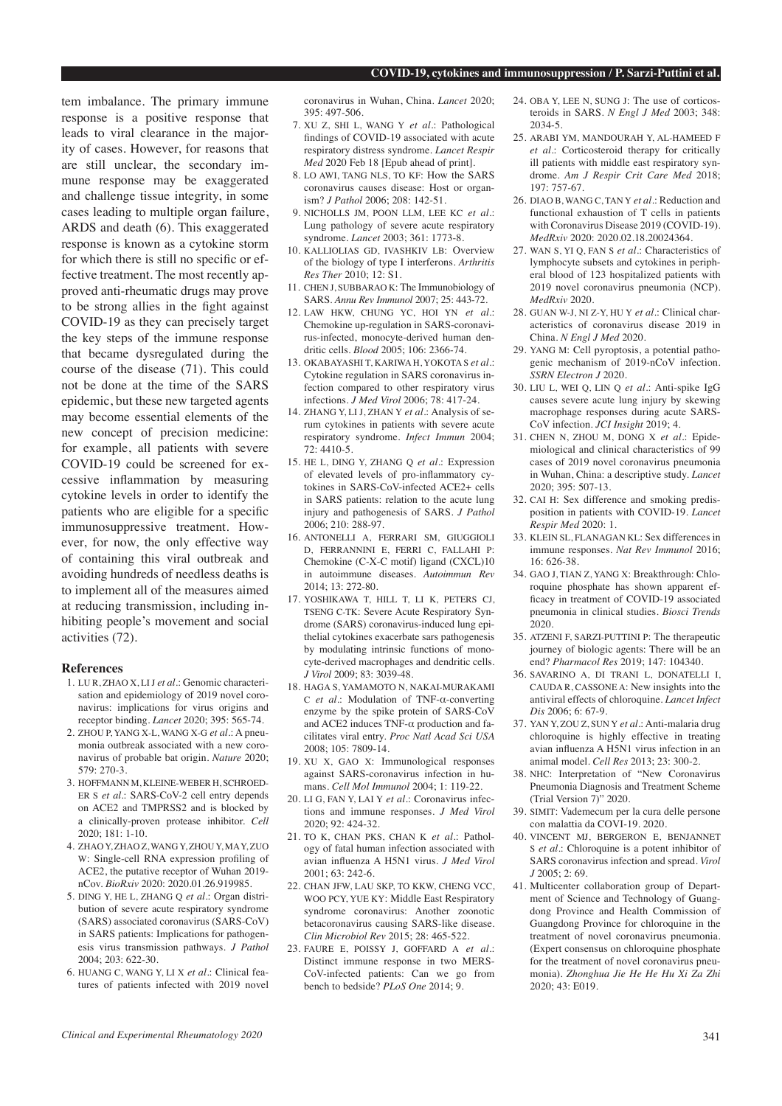tem imbalance. The primary immune response is a positive response that leads to viral clearance in the majority of cases. However, for reasons that are still unclear, the secondary immune response may be exaggerated and challenge tissue integrity, in some cases leading to multiple organ failure, ARDS and death (6). This exaggerated response is known as a cytokine storm for which there is still no specifc or effective treatment. The most recently approved anti-rheumatic drugs may prove to be strong allies in the fght against COVID-19 as they can precisely target the key steps of the immune response that became dysregulated during the course of the disease (71). This could not be done at the time of the SARS epidemic, but these new targeted agents may become essential elements of the new concept of precision medicine: for example, all patients with severe COVID-19 could be screened for excessive infammation by measuring cytokine levels in order to identify the patients who are eligible for a specifc immunosuppressive treatment. However, for now, the only effective way of containing this viral outbreak and avoiding hundreds of needless deaths is to implement all of the measures aimed at reducing transmission, including inhibiting people's movement and social activities (72).

# **References**

- 1. LU R, ZHAO X, LI J *et al.*: Genomic characterisation and epidemiology of 2019 novel coronavirus: implications for virus origins and receptor binding. *Lancet* 2020; 395: 565-74.
- 2. ZHOU P, YANG X-L, WANG X-G *et al.*: A pneumonia outbreak associated with a new coronavirus of probable bat origin. *Nature* 2020; 579: 270-3.
- 3. HOFFMANN M, KLEINE-WEBER H, SCHROED-ER S *et al.*: SARS-CoV-2 cell entry depends on ACE2 and TMPRSS2 and is blocked by a clinically-proven protease inhibitor. *Cell* 2020; 181: 1-10.
- 4. ZHAO Y, ZHAO Z, WANG Y, ZHOU Y, MA Y, ZUO W: Single-cell RNA expression profling of ACE2, the putative receptor of Wuhan 2019 nCov. *BioRxiv* 2020: 2020.01.26.919985.
- 5. DING Y, HE L, ZHANG Q *et al.*: Organ distribution of severe acute respiratory syndrome (SARS) associated coronavirus (SARS-CoV) in SARS patients: Implications for pathogenesis virus transmission pathways. *J Pathol*  $2004 \cdot 203 \cdot 622 - 30$
- 6. HUANG C, WANG Y, LI X *et al.*: Clinical features of patients infected with 2019 novel

coronavirus in Wuhan, China. *Lancet* 2020; 395: 497-506.

- 7. XU Z, SHI L, WANG Y *et al.*: Pathological fndings of COVID-19 associated with acute respiratory distress syndrome. *Lancet Respir Med* 2020 Feb 18 [Epub ahead of print].
- 8. LO AWI, TANG NLS, TO KF: How the SARS coronavirus causes disease: Host or organism? *J Pathol* 2006; 208: 142-51.
- 9. NICHOLLS JM, POON LLM, LEE KC *et al.*: Lung pathology of severe acute respiratory syndrome. *Lancet* 2003; 361: 1773-8.
- 10. KALLIOLIAS GD, IVASHKIV LB: Overview of the biology of type I interferons. *Arthritis Res Ther* 2010; 12: S1.
- 11. CHEN J, SUBBARAO K: The Immunobiology of SARS. *Annu Rev Immunol* 2007; 25: 443-72.
- 12. LAW HKW, CHUNG YC, HOI YN *et al.*: Chemokine up-regulation in SARS-coronavirus-infected, monocyte-derived human dendritic cells. *Blood* 2005; 106: 2366-74.
- 13. OKABAYASHI T, KARIWA H, YOKOTA S *et al.*: Cytokine regulation in SARS coronavirus infection compared to other respiratory virus infections. *J Med Virol* 2006; 78: 417-24.
- 14. ZHANG Y, LI J, ZHAN Y *et al.*: Analysis of serum cytokines in patients with severe acute respiratory syndrome. *Infect Immun* 2004; 72: 4410-5.
- 15. HE L, DING Y, ZHANG Q *et al.*: Expression of elevated levels of pro-infammatory cytokines in SARS-CoV-infected ACE2+ cells in SARS patients: relation to the acute lung injury and pathogenesis of SARS. *J Pathol* 2006; 210: 288-97.
- 16. ANTONELLI A, FERRARI SM, GIUGGIOLI D, FERRANNINI E, FERRI C, FALLAHI P: Chemokine (C-X-C motif) ligand (CXCL)10 in autoimmune diseases. *Autoimmun Rev* 2014; 13: 272-80.
- 17. YOSHIKAWA T, HILL T, LI K, PETERS CJ, TSENG C-TK: Severe Acute Respiratory Syndrome (SARS) coronavirus-induced lung epithelial cytokines exacerbate sars pathogenesis by modulating intrinsic functions of monocyte-derived macrophages and dendritic cells. *J Virol* 2009; 83: 3039-48.
- 18. HAGA S, YAMAMOTO N, NAKAI-MURAKAMI C *et al.*: Modulation of TNF-α-converting enzyme by the spike protein of SARS-CoV and ACE2 induces TNF-α production and facilitates viral entry. *Proc Natl Acad Sci USA* 2008; 105: 7809-14.
- 19. XU X, GAO X: Immunological responses against SARS-coronavirus infection in humans. *Cell Mol Immunol* 2004; 1: 119-22.
- 20. LI G, FAN Y, LAI Y *et al*.: Coronavirus infections and immune responses. *J Med Virol* 2020; 92: 424-32.
- 21. TO K, CHAN PKS, CHAN K *et al*.: Pathology of fatal human infection associated with avian infuenza A H5N1 virus. *J Med Virol*  $2001 \cdot 63 \cdot 242 - 6$
- 22. CHAN JFW, LAU SKP, TO KKW, CHENG VCC, WOO PCY, YUE KY: Middle East Respiratory syndrome coronavirus: Another zoonotic betacoronavirus causing SARS-like disease. *Clin Microbiol Rev* 2015; 28: 465-522.
- 23. FAURE E, POISSY J, GOFFARD A *et al*.: Distinct immune response in two MERS-CoV-infected patients: Can we go from bench to bedside? *PLoS One* 2014; 9.
- 24. OBA Y, LEE N, SUNG J: The use of corticosteroids in SARS. *N Engl J Med* 2003; 348: 2034-5.
- 25. ARABI YM, MANDOURAH Y, AL-HAMEED F *et al*.: Corticosteroid therapy for critically ill patients with middle east respiratory syndrome. *Am J Respir Crit Care Med* 2018; 197: 757-67.
- 26. DIAO B, WANG C, TAN Y *et al*.: Reduction and functional exhaustion of T cells in patients with Coronavirus Disease 2019 (COVID-19). *MedRxiv* 2020: 2020.02.18.20024364.
- 27. WAN S, YI Q, FAN S *et al*.: Characteristics of lymphocyte subsets and cytokines in peripheral blood of 123 hospitalized patients with 2019 novel coronavirus pneumonia (NCP). *MedRxiv* 2020.
- 28. GUAN W-J, NI Z-Y, HU Y *et al*.: Clinical characteristics of coronavirus disease 2019 in China. *N Engl J Med* 2020.
- 29. YANG M: Cell pyroptosis, a potential pathogenic mechanism of 2019-nCoV infection. *SSRN Electron J* 2020.
- 30. LIU L, WEI Q, LIN Q *et al*.: Anti-spike IgG causes severe acute lung injury by skewing macrophage responses during acute SARS-CoV infection. *JCI Insight* 2019; 4.
- 31. CHEN N, ZHOU M, DONG X *et al*.: Epidemiological and clinical characteristics of 99 cases of 2019 novel coronavirus pneumonia in Wuhan, China: a descriptive study. *Lancet* 2020; 395: 507-13.
- 32. CAI H: Sex difference and smoking predisposition in patients with COVID-19. *Lancet Respir Med* 2020: 1.
- 33. KLEIN SL, FLANAGAN KL: Sex differences in immune responses. *Nat Rev Immunol* 2016;  $16: 626-38$
- 34. GAO J, TIAN Z, YANG X: Breakthrough: Chloroquine phosphate has shown apparent effcacy in treatment of COVID-19 associated pneumonia in clinical studies. *Biosci Trends*  $2020$
- 35. ATZENI F, SARZI-PUTTINI P: The therapeutic journey of biologic agents: There will be an end? *Pharmacol Res* 2019; 147: 104340.
- 36. SAVARINO A, DI TRANI L, DONATELLI I, CAUDA R, CASSONE A: New insights into the antiviral effects of chloroquine. *Lancet Infect Dis* 2006; 6: 67-9.
- 37. YAN Y, ZOU Z, SUN Y *et al*.: Anti-malaria drug chloroquine is highly effective in treating avian infuenza A H5N1 virus infection in an animal model. *Cell Res* 2013; 23: 300-2.
- 38. NHC: Interpretation of "New Coronavirus Pneumonia Diagnosis and Treatment Scheme (Trial Version 7)" 2020.
- 39. SIMIT: Vademecum per la cura delle persone con malattia da COVI-19. 2020.
- 40. VINCENT MJ, BERGERON E, BENJANNET S *et al*.: Chloroquine is a potent inhibitor of SARS coronavirus infection and spread. *Virol*   $J2005:2:69$
- 41. Multicenter collaboration group of Department of Science and Technology of Guangdong Province and Health Commission of Guangdong Province for chloroquine in the treatment of novel coronavirus pneumonia. (Expert consensus on chloroquine phosphate for the treatment of novel coronavirus pneumonia). *Zhonghua Jie He He Hu Xi Za Zhi* 2020; 43: E019.